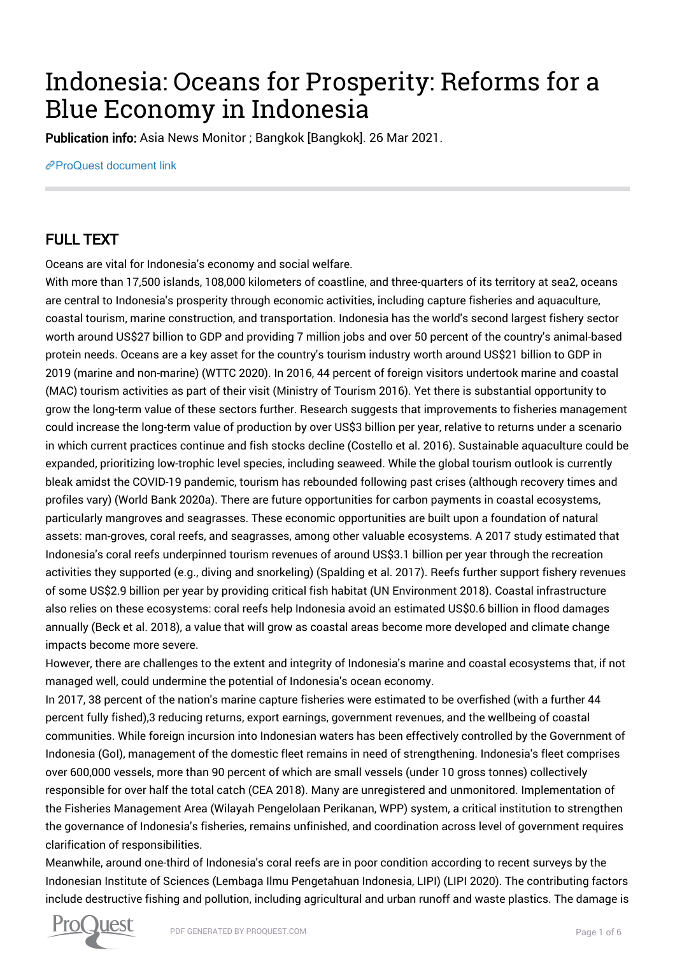## Indonesia: Oceans for Prosperity: Reforms for a Blue Economy in Indonesia

Publication info: Asia News Monitor ; Bangkok [Bangkok]. 26 Mar 2021.

[ProQuest document link](http://132.174.250.227/newspapers/indonesia-oceans-prosperity-reforms-blue-economy/docview/2504805997/se-2?accountid=8394)

## FULL TEXT

Oceans are vital for Indonesia's economy and social welfare.

With more than 17,500 islands, 108,000 kilometers of coastline, and three-quarters of its territory at sea2, oceans are central to Indonesia's prosperity through economic activities, including capture fisheries and aquaculture, coastal tourism, marine construction, and transportation. Indonesia has the world's second largest fishery sector worth around US\$27 billion to GDP and providing 7 million jobs and over 50 percent of the country's animal-based protein needs. Oceans are a key asset for the country's tourism industry worth around US\$21 billion to GDP in 2019 (marine and non-marine) (WTTC 2020). In 2016, 44 percent of foreign visitors undertook marine and coastal (MAC) tourism activities as part of their visit (Ministry of Tourism 2016). Yet there is substantial opportunity to grow the long-term value of these sectors further. Research suggests that improvements to fisheries management could increase the long-term value of production by over US\$3 billion per year, relative to returns under a scenario in which current practices continue and fish stocks decline (Costello et al. 2016). Sustainable aquaculture could be expanded, prioritizing low-trophic level species, including seaweed. While the global tourism outlook is currently bleak amidst the COVID-19 pandemic, tourism has rebounded following past crises (although recovery times and profiles vary) (World Bank 2020a). There are future opportunities for carbon payments in coastal ecosystems, particularly mangroves and seagrasses. These economic opportunities are built upon a foundation of natural assets: man-groves, coral reefs, and seagrasses, among other valuable ecosystems. A 2017 study estimated that Indonesia's coral reefs underpinned tourism revenues of around US\$3.1 billion per year through the recreation activities they supported (e.g., diving and snorkeling) (Spalding et al. 2017). Reefs further support fishery revenues of some US\$2.9 billion per year by providing critical fish habitat (UN Environment 2018). Coastal infrastructure also relies on these ecosystems: coral reefs help Indonesia avoid an estimated US\$0.6 billion in flood damages annually (Beck et al. 2018), a value that will grow as coastal areas become more developed and climate change impacts become more severe.

However, there are challenges to the extent and integrity of Indonesia's marine and coastal ecosystems that, if not managed well, could undermine the potential of Indonesia's ocean economy.

In 2017, 38 percent of the nation's marine capture fisheries were estimated to be overfished (with a further 44 percent fully fished),3 reducing returns, export earnings, government revenues, and the wellbeing of coastal communities. While foreign incursion into Indonesian waters has been effectively controlled by the Government of Indonesia (GoI), management of the domestic fleet remains in need of strengthening. Indonesia's fleet comprises over 600,000 vessels, more than 90 percent of which are small vessels (under 10 gross tonnes) collectively responsible for over half the total catch (CEA 2018). Many are unregistered and unmonitored. Implementation of the Fisheries Management Area (Wilayah Pengelolaan Perikanan, WPP) system, a critical institution to strengthen the governance of Indonesia's fisheries, remains unfinished, and coordination across level of government requires clarification of responsibilities.

Meanwhile, around one-third of Indonesia's coral reefs are in poor condition according to recent surveys by the Indonesian Institute of Sciences (Lembaga Ilmu Pengetahuan Indonesia, LIPI) (LIPI 2020). The contributing factors include destructive fishing and pollution, including agricultural and urban runoff and waste plastics. The damage is

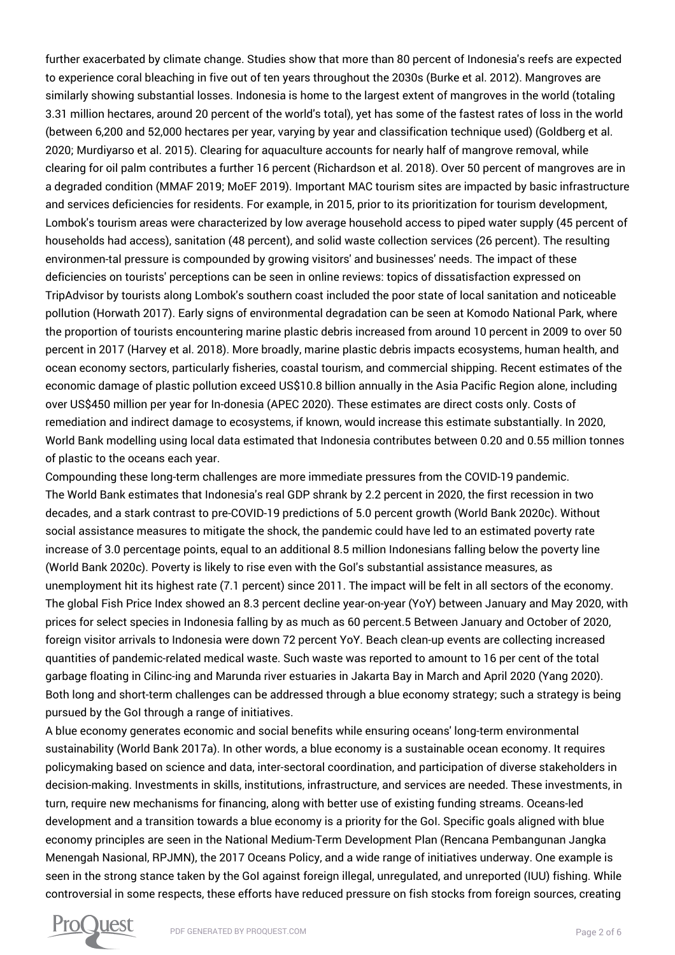further exacerbated by climate change. Studies show that more than 80 percent of Indonesia's reefs are expected to experience coral bleaching in five out of ten years throughout the 2030s (Burke et al. 2012). Mangroves are similarly showing substantial losses. Indonesia is home to the largest extent of mangroves in the world (totaling 3.31 million hectares, around 20 percent of the world's total), yet has some of the fastest rates of loss in the world (between 6,200 and 52,000 hectares per year, varying by year and classification technique used) (Goldberg et al. 2020; Murdiyarso et al. 2015). Clearing for aquaculture accounts for nearly half of mangrove removal, while clearing for oil palm contributes a further 16 percent (Richardson et al. 2018). Over 50 percent of mangroves are in a degraded condition (MMAF 2019; MoEF 2019). Important MAC tourism sites are impacted by basic infrastructure and services deficiencies for residents. For example, in 2015, prior to its prioritization for tourism development, Lombok's tourism areas were characterized by low average household access to piped water supply (45 percent of households had access), sanitation (48 percent), and solid waste collection services (26 percent). The resulting environmen-tal pressure is compounded by growing visitors' and businesses' needs. The impact of these deficiencies on tourists' perceptions can be seen in online reviews: topics of dissatisfaction expressed on TripAdvisor by tourists along Lombok's southern coast included the poor state of local sanitation and noticeable pollution (Horwath 2017). Early signs of environmental degradation can be seen at Komodo National Park, where the proportion of tourists encountering marine plastic debris increased from around 10 percent in 2009 to over 50 percent in 2017 (Harvey et al. 2018). More broadly, marine plastic debris impacts ecosystems, human health, and ocean economy sectors, particularly fisheries, coastal tourism, and commercial shipping. Recent estimates of the economic damage of plastic pollution exceed US\$10.8 billion annually in the Asia Pacific Region alone, including over US\$450 million per year for In-donesia (APEC 2020). These estimates are direct costs only. Costs of remediation and indirect damage to ecosystems, if known, would increase this estimate substantially. In 2020, World Bank modelling using local data estimated that Indonesia contributes between 0.20 and 0.55 million tonnes of plastic to the oceans each year.

Compounding these long-term challenges are more immediate pressures from the COVID-19 pandemic. The World Bank estimates that Indonesia's real GDP shrank by 2.2 percent in 2020, the first recession in two decades, and a stark contrast to pre-COVID-19 predictions of 5.0 percent growth (World Bank 2020c). Without social assistance measures to mitigate the shock, the pandemic could have led to an estimated poverty rate increase of 3.0 percentage points, equal to an additional 8.5 million Indonesians falling below the poverty line (World Bank 2020c). Poverty is likely to rise even with the GoI's substantial assistance measures, as unemployment hit its highest rate (7.1 percent) since 2011. The impact will be felt in all sectors of the economy. The global Fish Price Index showed an 8.3 percent decline year-on-year (YoY) between January and May 2020, with prices for select species in Indonesia falling by as much as 60 percent.5 Between January and October of 2020, foreign visitor arrivals to Indonesia were down 72 percent YoY. Beach clean-up events are collecting increased quantities of pandemic-related medical waste. Such waste was reported to amount to 16 per cent of the total garbage floating in Cilinc-ing and Marunda river estuaries in Jakarta Bay in March and April 2020 (Yang 2020). Both long and short-term challenges can be addressed through a blue economy strategy; such a strategy is being pursued by the GoI through a range of initiatives.

A blue economy generates economic and social benefits while ensuring oceans' long-term environmental sustainability (World Bank 2017a). In other words, a blue economy is a sustainable ocean economy. It requires policymaking based on science and data, inter-sectoral coordination, and participation of diverse stakeholders in decision-making. Investments in skills, institutions, infrastructure, and services are needed. These investments, in turn, require new mechanisms for financing, along with better use of existing funding streams. Oceans-led development and a transition towards a blue economy is a priority for the GoI. Specific goals aligned with blue economy principles are seen in the National Medium-Term Development Plan (Rencana Pembangunan Jangka Menengah Nasional, RPJMN), the 2017 Oceans Policy, and a wide range of initiatives underway. One example is seen in the strong stance taken by the GoI against foreign illegal, unregulated, and unreported (IUU) fishing. While controversial in some respects, these efforts have reduced pressure on fish stocks from foreign sources, creating

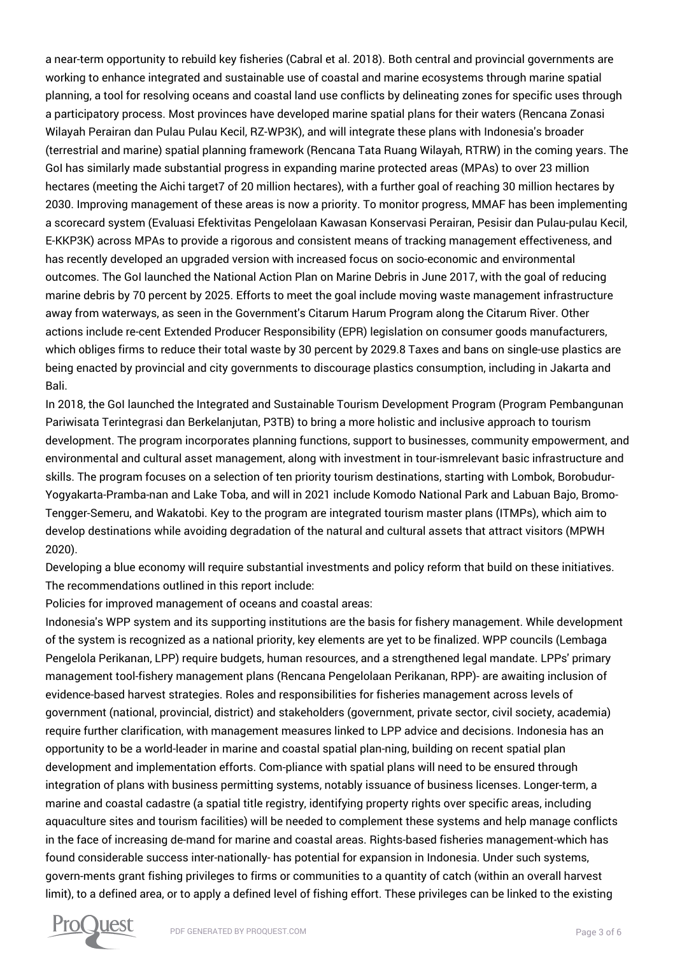a near-term opportunity to rebuild key fisheries (Cabral et al. 2018). Both central and provincial governments are working to enhance integrated and sustainable use of coastal and marine ecosystems through marine spatial planning, a tool for resolving oceans and coastal land use conflicts by delineating zones for specific uses through a participatory process. Most provinces have developed marine spatial plans for their waters (Rencana Zonasi Wilayah Perairan dan Pulau Pulau Kecil, RZ-WP3K), and will integrate these plans with Indonesia's broader (terrestrial and marine) spatial planning framework (Rencana Tata Ruang Wilayah, RTRW) in the coming years. The GoI has similarly made substantial progress in expanding marine protected areas (MPAs) to over 23 million hectares (meeting the Aichi target7 of 20 million hectares), with a further goal of reaching 30 million hectares by 2030. Improving management of these areas is now a priority. To monitor progress, MMAF has been implementing a scorecard system (Evaluasi Efektivitas Pengelolaan Kawasan Konservasi Perairan, Pesisir dan Pulau-pulau Kecil, E-KKP3K) across MPAs to provide a rigorous and consistent means of tracking management effectiveness, and has recently developed an upgraded version with increased focus on socio-economic and environmental outcomes. The GoI launched the National Action Plan on Marine Debris in June 2017, with the goal of reducing marine debris by 70 percent by 2025. Efforts to meet the goal include moving waste management infrastructure away from waterways, as seen in the Government's Citarum Harum Program along the Citarum River. Other actions include re-cent Extended Producer Responsibility (EPR) legislation on consumer goods manufacturers, which obliges firms to reduce their total waste by 30 percent by 2029.8 Taxes and bans on single-use plastics are being enacted by provincial and city governments to discourage plastics consumption, including in Jakarta and Bali.

In 2018, the GoI launched the Integrated and Sustainable Tourism Development Program (Program Pembangunan Pariwisata Terintegrasi dan Berkelanjutan, P3TB) to bring a more holistic and inclusive approach to tourism development. The program incorporates planning functions, support to businesses, community empowerment, and environmental and cultural asset management, along with investment in tour-ismrelevant basic infrastructure and skills. The program focuses on a selection of ten priority tourism destinations, starting with Lombok, Borobudur-Yogyakarta-Pramba-nan and Lake Toba, and will in 2021 include Komodo National Park and Labuan Bajo, Bromo-Tengger-Semeru, and Wakatobi. Key to the program are integrated tourism master plans (ITMPs), which aim to develop destinations while avoiding degradation of the natural and cultural assets that attract visitors (MPWH 2020).

Developing a blue economy will require substantial investments and policy reform that build on these initiatives. The recommendations outlined in this report include:

Policies for improved management of oceans and coastal areas:

Indonesia's WPP system and its supporting institutions are the basis for fishery management. While development of the system is recognized as a national priority, key elements are yet to be finalized. WPP councils (Lembaga Pengelola Perikanan, LPP) require budgets, human resources, and a strengthened legal mandate. LPPs' primary management tool-fishery management plans (Rencana Pengelolaan Perikanan, RPP)- are awaiting inclusion of evidence-based harvest strategies. Roles and responsibilities for fisheries management across levels of government (national, provincial, district) and stakeholders (government, private sector, civil society, academia) require further clarification, with management measures linked to LPP advice and decisions. Indonesia has an opportunity to be a world-leader in marine and coastal spatial plan-ning, building on recent spatial plan development and implementation efforts. Com-pliance with spatial plans will need to be ensured through integration of plans with business permitting systems, notably issuance of business licenses. Longer-term, a marine and coastal cadastre (a spatial title registry, identifying property rights over specific areas, including aquaculture sites and tourism facilities) will be needed to complement these systems and help manage conflicts in the face of increasing de-mand for marine and coastal areas. Rights-based fisheries management-which has found considerable success inter-nationally- has potential for expansion in Indonesia. Under such systems, govern-ments grant fishing privileges to firms or communities to a quantity of catch (within an overall harvest limit), to a defined area, or to apply a defined level of fishing effort. These privileges can be linked to the existing

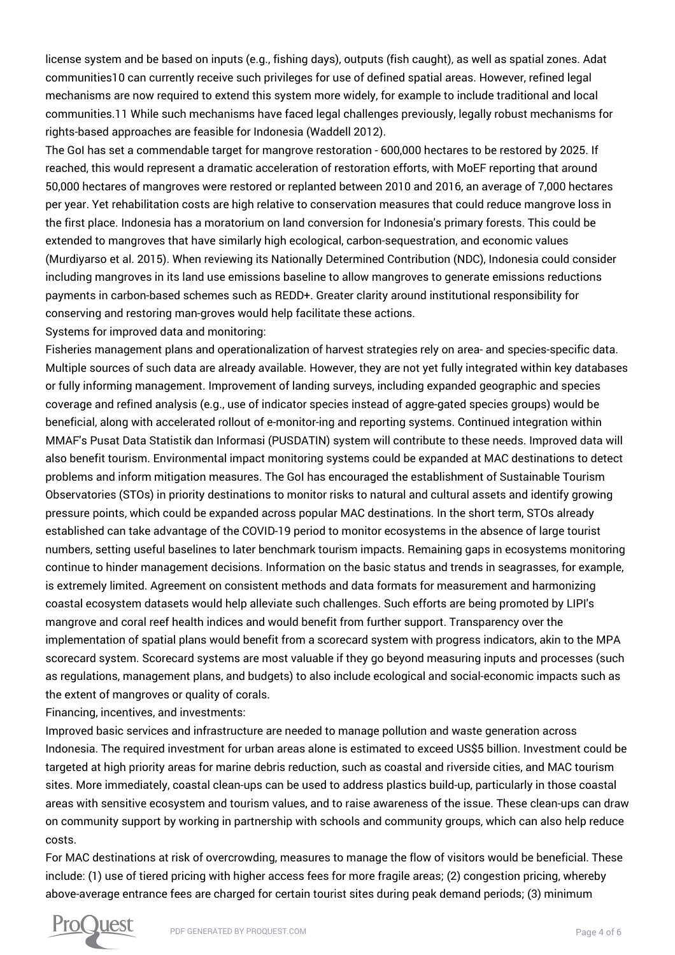license system and be based on inputs (e.g., fishing days), outputs (fish caught), as well as spatial zones. Adat communities10 can currently receive such privileges for use of defined spatial areas. However, refined legal mechanisms are now required to extend this system more widely, for example to include traditional and local communities.11 While such mechanisms have faced legal challenges previously, legally robust mechanisms for rights-based approaches are feasible for Indonesia (Waddell 2012).

The GoI has set a commendable target for mangrove restoration - 600,000 hectares to be restored by 2025. If reached, this would represent a dramatic acceleration of restoration efforts, with MoEF reporting that around 50,000 hectares of mangroves were restored or replanted between 2010 and 2016, an average of 7,000 hectares per year. Yet rehabilitation costs are high relative to conservation measures that could reduce mangrove loss in the first place. Indonesia has a moratorium on land conversion for Indonesia's primary forests. This could be extended to mangroves that have similarly high ecological, carbon-sequestration, and economic values (Murdiyarso et al. 2015). When reviewing its Nationally Determined Contribution (NDC), Indonesia could consider including mangroves in its land use emissions baseline to allow mangroves to generate emissions reductions payments in carbon-based schemes such as REDD+. Greater clarity around institutional responsibility for conserving and restoring man-groves would help facilitate these actions.

Systems for improved data and monitoring:

Fisheries management plans and operationalization of harvest strategies rely on area- and species-specific data. Multiple sources of such data are already available. However, they are not yet fully integrated within key databases or fully informing management. Improvement of landing surveys, including expanded geographic and species coverage and refined analysis (e.g., use of indicator species instead of aggre-gated species groups) would be beneficial, along with accelerated rollout of e-monitor-ing and reporting systems. Continued integration within MMAF's Pusat Data Statistik dan Informasi (PUSDATIN) system will contribute to these needs. Improved data will also benefit tourism. Environmental impact monitoring systems could be expanded at MAC destinations to detect problems and inform mitigation measures. The GoI has encouraged the establishment of Sustainable Tourism Observatories (STOs) in priority destinations to monitor risks to natural and cultural assets and identify growing pressure points, which could be expanded across popular MAC destinations. In the short term, STOs already established can take advantage of the COVID-19 period to monitor ecosystems in the absence of large tourist numbers, setting useful baselines to later benchmark tourism impacts. Remaining gaps in ecosystems monitoring continue to hinder management decisions. Information on the basic status and trends in seagrasses, for example, is extremely limited. Agreement on consistent methods and data formats for measurement and harmonizing coastal ecosystem datasets would help alleviate such challenges. Such efforts are being promoted by LIPI's mangrove and coral reef health indices and would benefit from further support. Transparency over the implementation of spatial plans would benefit from a scorecard system with progress indicators, akin to the MPA scorecard system. Scorecard systems are most valuable if they go beyond measuring inputs and processes (such as regulations, management plans, and budgets) to also include ecological and social-economic impacts such as the extent of mangroves or quality of corals.

Financing, incentives, and investments:

Improved basic services and infrastructure are needed to manage pollution and waste generation across Indonesia. The required investment for urban areas alone is estimated to exceed US\$5 billion. Investment could be targeted at high priority areas for marine debris reduction, such as coastal and riverside cities, and MAC tourism sites. More immediately, coastal clean-ups can be used to address plastics build-up, particularly in those coastal areas with sensitive ecosystem and tourism values, and to raise awareness of the issue. These clean-ups can draw on community support by working in partnership with schools and community groups, which can also help reduce costs.

For MAC destinations at risk of overcrowding, measures to manage the flow of visitors would be beneficial. These include: (1) use of tiered pricing with higher access fees for more fragile areas; (2) congestion pricing, whereby above-average entrance fees are charged for certain tourist sites during peak demand periods; (3) minimum

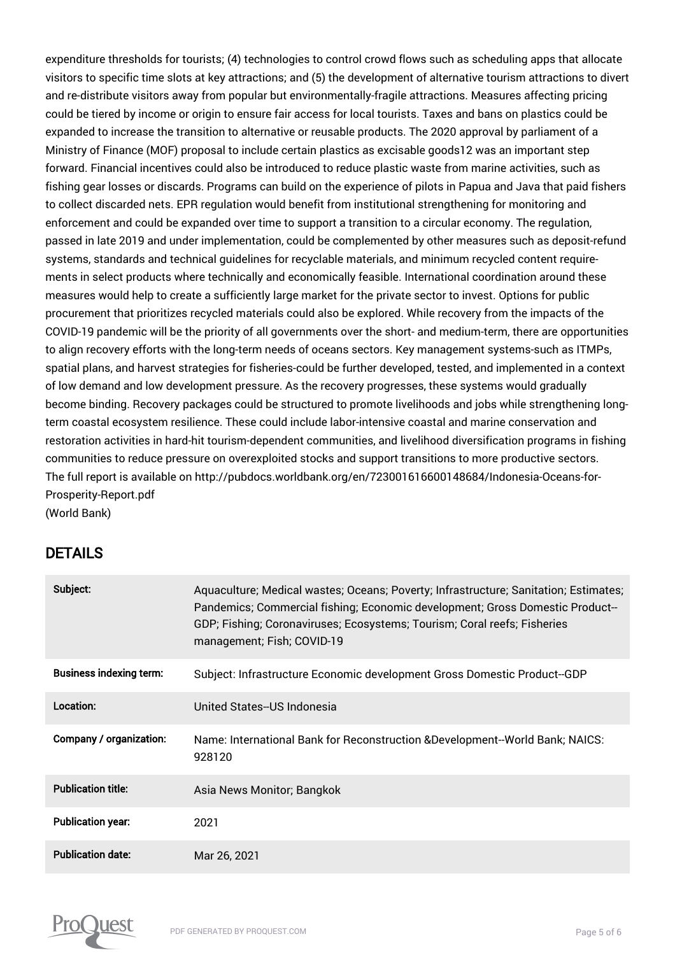expenditure thresholds for tourists; (4) technologies to control crowd flows such as scheduling apps that allocate visitors to specific time slots at key attractions; and (5) the development of alternative tourism attractions to divert and re-distribute visitors away from popular but environmentally-fragile attractions. Measures affecting pricing could be tiered by income or origin to ensure fair access for local tourists. Taxes and bans on plastics could be expanded to increase the transition to alternative or reusable products. The 2020 approval by parliament of a Ministry of Finance (MOF) proposal to include certain plastics as excisable goods12 was an important step forward. Financial incentives could also be introduced to reduce plastic waste from marine activities, such as fishing gear losses or discards. Programs can build on the experience of pilots in Papua and Java that paid fishers to collect discarded nets. EPR regulation would benefit from institutional strengthening for monitoring and enforcement and could be expanded over time to support a transition to a circular economy. The regulation, passed in late 2019 and under implementation, could be complemented by other measures such as deposit-refund systems, standards and technical guidelines for recyclable materials, and minimum recycled content requirements in select products where technically and economically feasible. International coordination around these measures would help to create a sufficiently large market for the private sector to invest. Options for public procurement that prioritizes recycled materials could also be explored. While recovery from the impacts of the COVID-19 pandemic will be the priority of all governments over the short- and medium-term, there are opportunities to align recovery efforts with the long-term needs of oceans sectors. Key management systems-such as ITMPs, spatial plans, and harvest strategies for fisheries-could be further developed, tested, and implemented in a context of low demand and low development pressure. As the recovery progresses, these systems would gradually become binding. Recovery packages could be structured to promote livelihoods and jobs while strengthening longterm coastal ecosystem resilience. These could include labor-intensive coastal and marine conservation and restoration activities in hard-hit tourism-dependent communities, and livelihood diversification programs in fishing communities to reduce pressure on overexploited stocks and support transitions to more productive sectors. The full report is available on http://pubdocs.worldbank.org/en/723001616600148684/Indonesia-Oceans-for-Prosperity-Report.pdf (World Bank)

## DETAILS

| Subject:                       | Aquaculture; Medical wastes; Oceans; Poverty; Infrastructure; Sanitation; Estimates;<br>Pandemics; Commercial fishing; Economic development; Gross Domestic Product-<br>GDP; Fishing; Coronaviruses; Ecosystems; Tourism; Coral reefs; Fisheries<br>management; Fish; COVID-19 |
|--------------------------------|--------------------------------------------------------------------------------------------------------------------------------------------------------------------------------------------------------------------------------------------------------------------------------|
| <b>Business indexing term:</b> | Subject: Infrastructure Economic development Gross Domestic Product--GDP                                                                                                                                                                                                       |
| Location:                      | United States--US Indonesia                                                                                                                                                                                                                                                    |
| Company / organization:        | Name: International Bank for Reconstruction & Development--World Bank; NAICS:<br>928120                                                                                                                                                                                        |
| <b>Publication title:</b>      | Asia News Monitor; Bangkok                                                                                                                                                                                                                                                     |
| <b>Publication year:</b>       | 2021                                                                                                                                                                                                                                                                           |
| <b>Publication date:</b>       | Mar 26, 2021                                                                                                                                                                                                                                                                   |